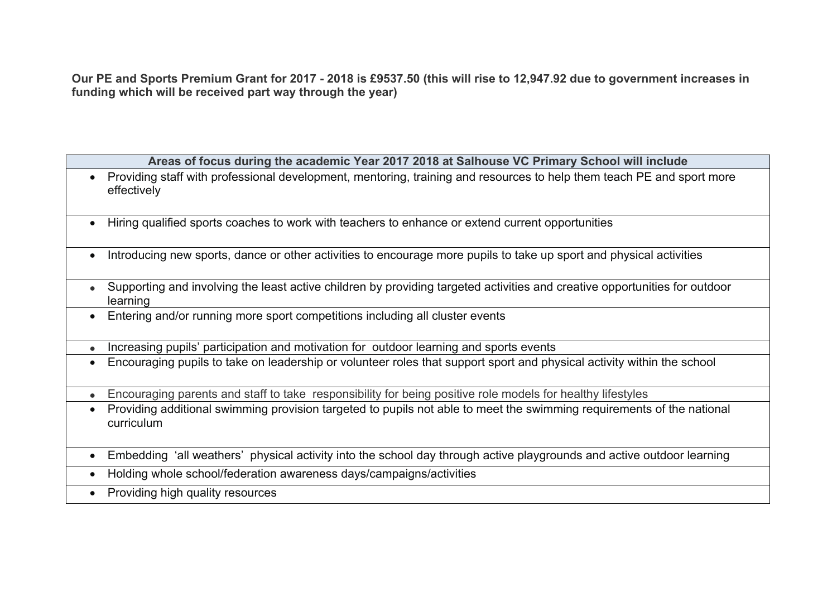Our PE and Sports Premium Grant for 2017 - 2018 is £9537.50 (this will rise to 12,947.92 due to government increases in **funding which will be received part way through the year)**

| Areas of focus during the academic Year 2017 2018 at Salhouse VC Primary School will include                                           |  |  |
|----------------------------------------------------------------------------------------------------------------------------------------|--|--|
| Providing staff with professional development, mentoring, training and resources to help them teach PE and sport more<br>effectively   |  |  |
| Hiring qualified sports coaches to work with teachers to enhance or extend current opportunities                                       |  |  |
| Introducing new sports, dance or other activities to encourage more pupils to take up sport and physical activities                    |  |  |
| Supporting and involving the least active children by providing targeted activities and creative opportunities for outdoor<br>learning |  |  |
| Entering and/or running more sport competitions including all cluster events                                                           |  |  |
| Increasing pupils' participation and motivation for outdoor learning and sports events                                                 |  |  |
| Encouraging pupils to take on leadership or volunteer roles that support sport and physical activity within the school                 |  |  |
| Encouraging parents and staff to take responsibility for being positive role models for healthy lifestyles                             |  |  |
| Providing additional swimming provision targeted to pupils not able to meet the swimming requirements of the national<br>curriculum    |  |  |
| Embedding 'all weathers' physical activity into the school day through active playgrounds and active outdoor learning<br>$\bullet$     |  |  |
| Holding whole school/federation awareness days/campaigns/activities<br>$\bullet$                                                       |  |  |
| Providing high quality resources<br>$\bullet$                                                                                          |  |  |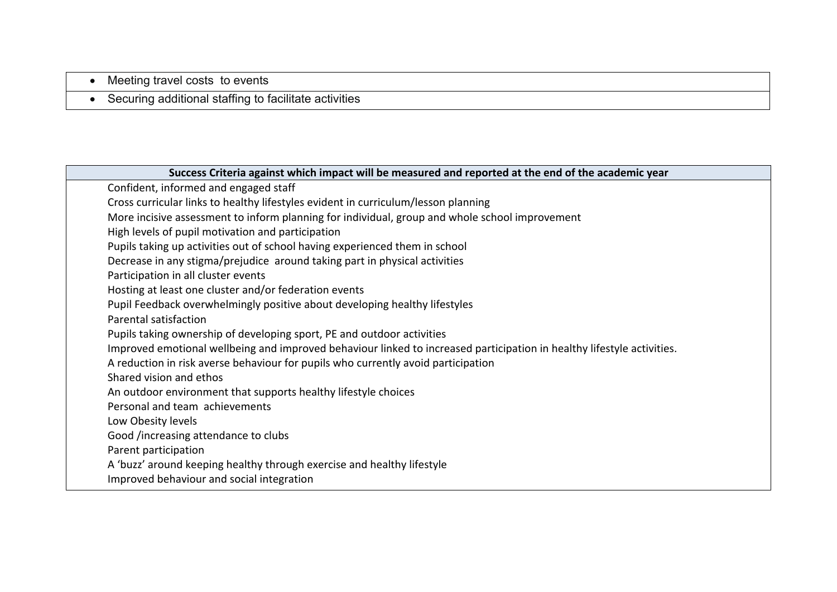- Meeting travel costs to events
- Securing additional staffing to facilitate activities

| Success Criteria against which impact will be measured and reported at the end of the academic year                    |  |  |
|------------------------------------------------------------------------------------------------------------------------|--|--|
| Confident, informed and engaged staff                                                                                  |  |  |
| Cross curricular links to healthy lifestyles evident in curriculum/lesson planning                                     |  |  |
| More incisive assessment to inform planning for individual, group and whole school improvement                         |  |  |
| High levels of pupil motivation and participation                                                                      |  |  |
| Pupils taking up activities out of school having experienced them in school                                            |  |  |
| Decrease in any stigma/prejudice around taking part in physical activities                                             |  |  |
| Participation in all cluster events                                                                                    |  |  |
| Hosting at least one cluster and/or federation events                                                                  |  |  |
| Pupil Feedback overwhelmingly positive about developing healthy lifestyles                                             |  |  |
| Parental satisfaction                                                                                                  |  |  |
| Pupils taking ownership of developing sport, PE and outdoor activities                                                 |  |  |
| Improved emotional wellbeing and improved behaviour linked to increased participation in healthy lifestyle activities. |  |  |
| A reduction in risk averse behaviour for pupils who currently avoid participation                                      |  |  |
| Shared vision and ethos                                                                                                |  |  |
| An outdoor environment that supports healthy lifestyle choices                                                         |  |  |
| Personal and team achievements                                                                                         |  |  |
| Low Obesity levels                                                                                                     |  |  |
| Good /increasing attendance to clubs                                                                                   |  |  |
| Parent participation                                                                                                   |  |  |
| A 'buzz' around keeping healthy through exercise and healthy lifestyle                                                 |  |  |
| Improved behaviour and social integration                                                                              |  |  |
|                                                                                                                        |  |  |